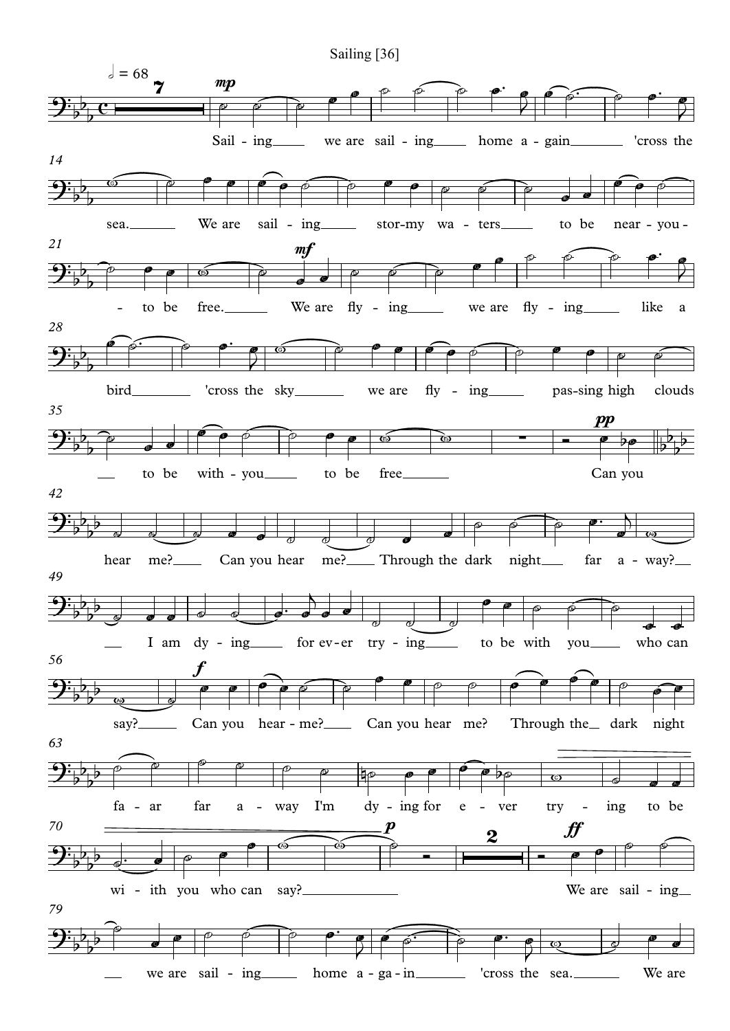Sailing [36]